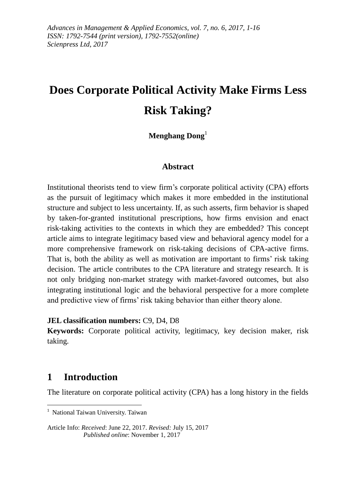# **Does Corporate Political Activity Make Firms Less Risk Taking?**

# **Menghang Dong**<sup>1</sup>

## **Abstract**

Institutional theorists tend to view firm's corporate political activity (CPA) efforts as the pursuit of legitimacy which makes it more embedded in the institutional structure and subject to less uncertainty. If, as such asserts, firm behavior is shaped by taken-for-granted institutional prescriptions, how firms envision and enact risk-taking activities to the contexts in which they are embedded? This concept article aims to integrate legitimacy based view and behavioral agency model for a more comprehensive framework on risk-taking decisions of CPA-active firms. That is, both the ability as well as motivation are important to firms' risk taking decision. The article contributes to the CPA literature and strategy research. It is not only bridging non-market strategy with market-favored outcomes, but also integrating institutional logic and the behavioral perspective for a more complete and predictive view of firms' risk taking behavior than either theory alone.

### **JEL classification numbers:** C9, D4, D8

**Keywords:** Corporate political activity, legitimacy, key decision maker, risk taking.

# **1 Introduction**

-

The literature on corporate political activity (CPA) has a long history in the fields

<sup>&</sup>lt;sup>1</sup> National Taiwan University. Taiwan

Article Info: *Received*: June 22, 2017. *Revised:* July 15, 2017 *Published online*: November 1, 2017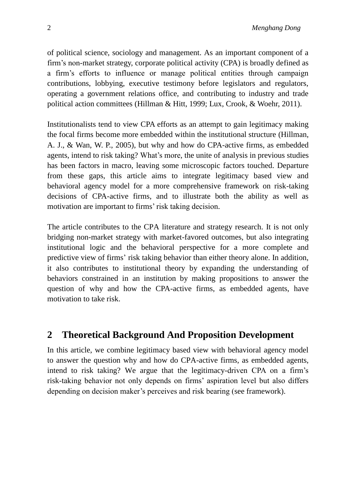of political science, sociology and management. As an important component of a firm's non-market strategy, corporate political activity (CPA) is broadly defined as a firm's efforts to influence or manage political entities through campaign contributions, lobbying, executive testimony before legislators and regulators, operating a government relations office, and contributing to industry and trade political action committees (Hillman & Hitt, 1999; Lux, Crook, & Woehr, 2011).

Institutionalists tend to view CPA efforts as an attempt to gain legitimacy making the focal firms become more embedded within the institutional structure (Hillman, A. J., & Wan, W. P., 2005), but why and how do CPA-active firms, as embedded agents, intend to risk taking? What's more, the unite of analysis in previous studies has been factors in macro, leaving some microscopic factors touched. Departure from these gaps, this article aims to integrate legitimacy based view and behavioral agency model for a more comprehensive framework on risk-taking decisions of CPA-active firms, and to illustrate both the ability as well as motivation are important to firms' risk taking decision.

The article contributes to the CPA literature and strategy research. It is not only bridging non-market strategy with market-favored outcomes, but also integrating institutional logic and the behavioral perspective for a more complete and predictive view of firms' risk taking behavior than either theory alone. In addition, it also contributes to institutional theory by expanding the understanding of behaviors constrained in an institution by making propositions to answer the question of why and how the CPA-active firms, as embedded agents, have motivation to take risk.

# **2 Theoretical Background And Proposition Development**

In this article, we combine legitimacy based view with behavioral agency model to answer the question why and how do CPA-active firms, as embedded agents, intend to risk taking? We argue that the legitimacy-driven CPA on a firm's risk-taking behavior not only depends on firms' aspiration level but also differs depending on decision maker's perceives and risk bearing (see framework).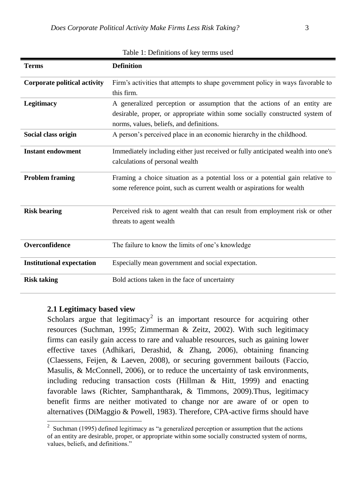| Terms                               | <b>Definition</b>                                                                 |
|-------------------------------------|-----------------------------------------------------------------------------------|
| <b>Corporate political activity</b> | Firm's activities that attempts to shape government policy in ways favorable to   |
|                                     | this firm.                                                                        |
| <b>Legitimacy</b>                   | A generalized perception or assumption that the actions of an entity are          |
|                                     | desirable, proper, or appropriate within some socially constructed system of      |
|                                     | norms, values, beliefs, and definitions.                                          |
| Social class origin                 | A person's perceived place in an economic hierarchy in the childhood.             |
| <b>Instant endowment</b>            | Immediately including either just received or fully anticipated wealth into one's |
|                                     | calculations of personal wealth                                                   |
| <b>Problem framing</b>              | Framing a choice situation as a potential loss or a potential gain relative to    |
|                                     | some reference point, such as current wealth or aspirations for wealth            |
| <b>Risk bearing</b>                 | Perceived risk to agent wealth that can result from employment risk or other      |
|                                     | threats to agent wealth                                                           |
| Overconfidence                      | The failure to know the limits of one's knowledge                                 |
| <b>Institutional expectation</b>    | Especially mean government and social expectation.                                |
| <b>Risk taking</b>                  | Bold actions taken in the face of uncertainty                                     |

Table 1: Definitions of key terms used

#### **2.1 Legitimacy based view**

-

Scholars argue that legitimacy<sup>2</sup> is an important resource for acquiring other resources (Suchman, 1995; Zimmerman & Zeitz, 2002). With such legitimacy firms can easily gain access to rare and valuable resources, such as gaining lower effective taxes (Adhikari, Derashid, & Zhang, 2006), obtaining financing (Claessens, Feijen, & Laeven, 2008), or securing government bailouts (Faccio, Masulis, & McConnell, 2006), or to reduce the uncertainty of task environments, including reducing transaction costs (Hillman & Hitt, 1999) and enacting favorable laws (Richter, Samphantharak, & Timmons, 2009).Thus, legitimacy benefit firms are neither motivated to change nor are aware of or open to alternatives (DiMaggio & Powell, 1983). Therefore, CPA-active firms should have

<sup>2</sup> Suchman (1995) defined legitimacy as "a generalized perception or assumption that the actions of an entity are desirable, proper, or appropriate within some socially constructed system of norms, values, beliefs, and definitions."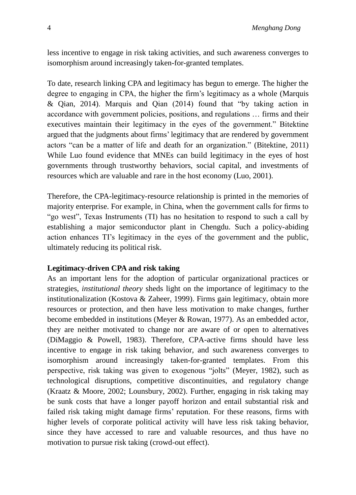less incentive to engage in risk taking activities, and such awareness converges to isomorphism around increasingly taken-for-granted templates.

To date, research linking CPA and legitimacy has begun to emerge. The higher the degree to engaging in CPA, the higher the firm's legitimacy as a whole (Marquis & Qian, 2014). Marquis and Qian (2014) found that "by taking action in accordance with government policies, positions, and regulations … firms and their executives maintain their legitimacy in the eyes of the government." Bitektine argued that the judgments about firms' legitimacy that are rendered by government actors "can be a matter of life and death for an organization." (Bitektine, 2011) While Luo found evidence that MNEs can build legitimacy in the eyes of host governments through trustworthy behaviors, social capital, and investments of resources which are valuable and rare in the host economy (Luo, 2001).

Therefore, the CPA-legitimacy-resource relationship is printed in the memories of majority enterprise. For example, in China, when the government calls for firms to "go west", Texas Instruments (TI) has no hesitation to respond to such a call by establishing a major semiconductor plant in Chengdu. Such a policy-abiding action enhances TI's legitimacy in the eyes of the government and the public, ultimately reducing its political risk.

### **Legitimacy-driven CPA and risk taking**

As an important lens for the adoption of particular organizational practices or strategies, *institutional theory* sheds light on the importance of legitimacy to the institutionalization (Kostova & Zaheer, 1999). Firms gain legitimacy, obtain more resources or protection, and then have less motivation to make changes, further become embedded in institutions (Meyer & Rowan, 1977). As an embedded actor, they are neither motivated to change nor are aware of or open to alternatives (DiMaggio & Powell, 1983). Therefore, CPA-active firms should have less incentive to engage in risk taking behavior, and such awareness converges to isomorphism around increasingly taken-for-granted templates. From this perspective, risk taking was given to exogenous "jolts" (Meyer, 1982), such as technological disruptions, competitive discontinuities, and regulatory change (Kraatz & Moore, 2002; Lounsbury, 2002). Further, engaging in risk taking may be sunk costs that have a longer payoff horizon and entail substantial risk and failed risk taking might damage firms' reputation. For these reasons, firms with higher levels of corporate political activity will have less risk taking behavior, since they have accessed to rare and valuable resources, and thus have no motivation to pursue risk taking (crowd-out effect).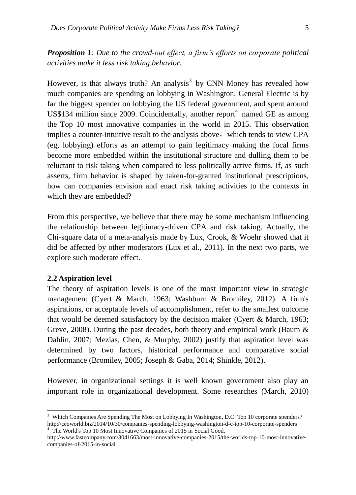*Proposition 1: Due to the crowd-out effect, a firm's efforts on corporate political activities make it less risk taking behavior.*

However, is that always truth? An analysis $3$  by CNN Money has revealed how much companies are spending on lobbying in Washington. General Electric is by far the biggest spender on lobbying the US federal government, and spent around US\$134 million since 2009. Coincidentally, another report $4$  named GE as among the Top 10 most innovative companies in the world in 2015. This observation implies a counter-intuitive result to the analysis above, which tends to view CPA (eg, lobbying) efforts as an attempt to gain legitimacy making the focal firms become more embedded within the institutional structure and dulling them to be reluctant to risk taking when compared to less politically active firms. If, as such asserts, firm behavior is shaped by taken-for-granted institutional prescriptions, how can companies envision and enact risk taking activities to the contexts in which they are embedded?

From this perspective, we believe that there may be some mechanism influencing the relationship between legitimacy-driven CPA and risk taking. Actually, the Chi-square data of a meta-analysis made by Lux, Crook, & Woehr showed that it did be affected by other moderators (Lux et al., 2011). In the next two parts, we explore such moderate effect.

#### **2.2 Aspiration level**

-

The theory of aspiration levels is one of the most important view in strategic management (Cyert & March, 1963; Washburn & Bromiley, 2012). A firm's aspirations, or acceptable levels of accomplishment, refer to the smallest outcome that would be deemed satisfactory by the decision maker (Cyert & March, 1963; Greve, 2008). During the past decades, both theory and empirical work (Baum & Dahlin, 2007; Mezias, Chen, & Murphy, 2002) justify that aspiration level was determined by two factors, historical performance and comparative social performance (Bromiley, 2005; Joseph & Gaba, 2014; Shinkle, 2012).

However, in organizational settings it is well known government also play an important role in organizational development. Some researches (March, 2010)

<sup>&</sup>lt;sup>3</sup> Which Companies Are Spending The Most on Lobbying In Washington, D.C: Top 10 corporate spenders? http://ceoworld.biz/2014/10/30/companies-spending-lobbying-washington-d-c-top-10-corporate-spenders <sup>4</sup> The World's Top 10 Most Innovative Companies of 2015 in Social Good.

http://www.fastcompany.com/3041663/most-innovative-companies-2015/the-worlds-top-10-most-innovativecompanies-of-2015-in-social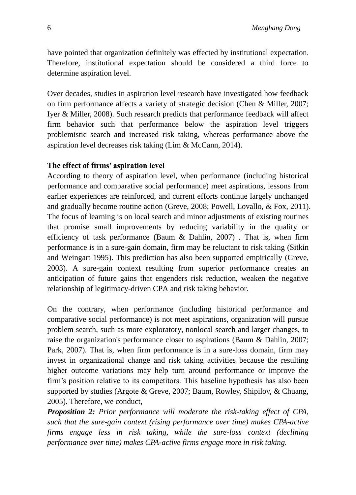have pointed that organization definitely was effected by institutional expectation. Therefore, institutional expectation should be considered a third force to determine aspiration level.

Over decades, studies in aspiration level research have investigated how feedback on firm performance affects a variety of strategic decision (Chen & Miller, 2007; Iyer & Miller, 2008). Such research predicts that performance feedback will affect firm behavior such that performance below the aspiration level triggers problemistic search and increased risk taking, whereas performance above the aspiration level decreases risk taking (Lim & McCann, 2014).

## **The effect of firms' aspiration level**

According to theory of aspiration level, when performance (including historical performance and comparative social performance) meet aspirations, lessons from earlier experiences are reinforced, and current efforts continue largely unchanged and gradually become routine action (Greve, 2008; Powell, Lovallo, & Fox, 2011). The focus of learning is on local search and minor adjustments of existing routines that promise small improvements by reducing variability in the quality or efficiency of task performance (Baum  $&$  Dahlin, 2007). That is, when firm performance is in a sure-gain domain, firm may be reluctant to risk taking (Sitkin and Weingart 1995). This prediction has also been supported empirically (Greve, 2003). A sure-gain context resulting from superior performance creates an anticipation of future gains that engenders risk reduction, weaken the negative relationship of legitimacy-driven CPA and risk taking behavior.

On the contrary, when performance (including historical performance and comparative social performance) is not meet aspirations, organization will pursue problem search, such as more exploratory, nonlocal search and larger changes, to raise the organization's performance closer to aspirations (Baum & Dahlin, 2007; Park, 2007). That is, when firm performance is in a sure-loss domain, firm may invest in organizational change and risk taking activities because the resulting higher outcome variations may help turn around performance or improve the firm's position relative to its competitors. This baseline hypothesis has also been supported by studies (Argote & Greve, 2007; Baum, Rowley, Shipilov, & Chuang, 2005). Therefore, we conduct,

*Proposition 2: Prior performance will moderate the risk-taking effect of CPA, such that the sure-gain context (rising performance over time) makes CPA-active firms engage less in risk taking, while the sure-loss context (declining performance over time) makes CPA-active firms engage more in risk taking.*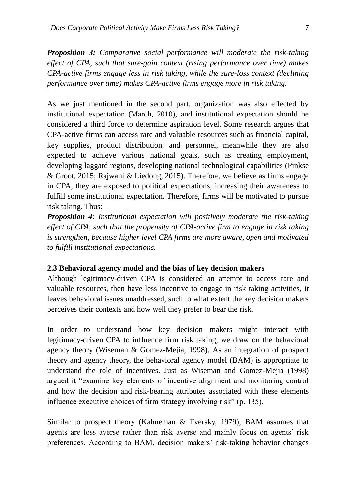*Proposition 3: Comparative social performance will moderate the risk-taking effect of CPA, such that sure-gain context (rising performance over time) makes CPA-active firms engage less in risk taking, while the sure-loss context (declining performance over time) makes CPA-active firms engage more in risk taking.*

As we just mentioned in the second part, organization was also effected by institutional expectation (March, 2010), and institutional expectation should be considered a third force to determine aspiration level. Some research argues that CPA-active firms can access rare and valuable resources such as financial capital, key supplies, product distribution, and personnel, meanwhile they are also expected to achieve various national goals, such as creating employment, developing laggard regions, developing national technological capabilities (Pinkse & Groot, 2015; Rajwani & Liedong, 2015). Therefore, we believe as firms engage in CPA, they are exposed to political expectations, increasing their awareness to fulfill some institutional expectation. Therefore, firms will be motivated to pursue risk taking. Thus:

*Proposition 4: Institutional expectation will positively moderate the risk-taking effect of CPA, such that the propensity of CPA-active firm to engage in risk taking is strengthen, because higher level CPA firms are more aware, open and motivated to fulfill institutional expectations.*

#### **2.3 Behavioral agency model and the bias of key decision makers**

Although legitimacy-driven CPA is considered an attempt to access rare and valuable resources, then have less incentive to engage in risk taking activities, it leaves behavioral issues unaddressed, such to what extent the key decision makers perceives their contexts and how well they prefer to bear the risk.

In order to understand how key decision makers might interact with legitimacy-driven CPA to influence firm risk taking, we draw on the behavioral agency theory (Wiseman & Gomez-Mejia, 1998). As an integration of prospect theory and agency theory, the behavioral agency model (BAM) is appropriate to understand the role of incentives. Just as Wiseman and Gomez-Mejia (1998) argued it "examine key elements of incentive alignment and monitoring control and how the decision and risk-bearing attributes associated with these elements influence executive choices of firm strategy involving risk" (p. 135).

Similar to prospect theory (Kahneman & Tversky, 1979), BAM assumes that agents are loss averse rather than risk averse and mainly focus on agents' risk preferences. According to BAM, decision makers' risk-taking behavior changes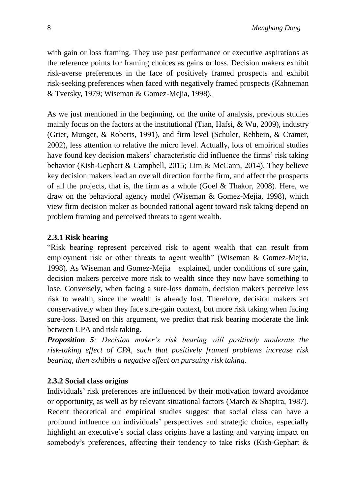with gain or loss framing. They use past performance or executive aspirations as the reference points for framing choices as gains or loss. Decision makers exhibit risk-averse preferences in the face of positively framed prospects and exhibit risk-seeking preferences when faced with negatively framed prospects (Kahneman & Tversky, 1979; Wiseman & Gomez-Mejia, 1998).

As we just mentioned in the beginning, on the unite of analysis, previous studies mainly focus on the factors at the institutional (Tian, Hafsi, & Wu, 2009), industry (Grier, Munger, & Roberts, 1991), and firm level (Schuler, Rehbein, & Cramer, 2002), less attention to relative the micro level. Actually, lots of empirical studies have found key decision makers' characteristic did influence the firms' risk taking behavior (Kish-Gephart & Campbell, 2015; Lim & McCann, 2014). They believe key decision makers lead an overall direction for the firm, and affect the prospects of all the projects, that is, the firm as a whole (Goel  $&$  Thakor, 2008). Here, we draw on the behavioral agency model (Wiseman & Gomez-Mejia, 1998), which view firm decision maker as bounded rational agent toward risk taking depend on problem framing and perceived threats to agent wealth.

## **2.3.1 Risk bearing**

"Risk bearing represent perceived risk to agent wealth that can result from employment risk or other threats to agent wealth" (Wiseman & Gomez-Mejia, 1998). As Wiseman and Gomez-Mejia explained, under conditions of sure gain, decision makers perceive more risk to wealth since they now have something to lose. Conversely, when facing a sure-loss domain, decision makers perceive less risk to wealth, since the wealth is already lost. Therefore, decision makers act conservatively when they face sure-gain context, but more risk taking when facing sure-loss. Based on this argument, we predict that risk bearing moderate the link between CPA and risk taking.

*Proposition 5: Decision maker's risk bearing will positively moderate the risk-taking effect of CPA, such that positively framed problems increase risk bearing, then exhibits a negative effect on pursuing risk taking.*

## **2.3.2 Social class origins**

Individuals' risk preferences are influenced by their motivation toward avoidance or opportunity, as well as by relevant situational factors (March & Shapira, 1987). Recent theoretical and empirical studies suggest that social class can have a profound influence on individuals' perspectives and strategic choice, especially highlight an executive's social class origins have a lasting and varying impact on somebody's preferences, affecting their tendency to take risks (Kish-Gephart &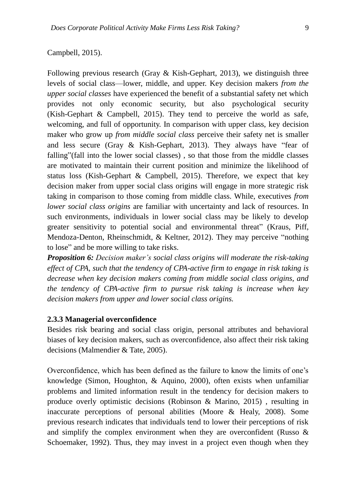Following previous research (Gray  $\&$  Kish-Gephart, 2013), we distinguish three levels of social class—lower, middle, and upper. Key decision makers *from the upper social classes* have experienced the benefit of a substantial safety net which provides not only economic security, but also psychological security (Kish-Gephart & Campbell, 2015). They tend to perceive the world as safe, welcoming, and full of opportunity. In comparison with upper class, key decision maker who grow up *from middle social class* perceive their safety net is smaller and less secure (Gray & Kish-Gephart, 2013). They always have "fear of falling"(fall into the lower social classes) , so that those from the middle classes are motivated to maintain their current position and minimize the likelihood of status loss (Kish-Gephart & Campbell, 2015). Therefore, we expect that key decision maker from upper social class origins will engage in more strategic risk taking in comparison to those coming from middle class. While, executives *from lower social class origins* are familiar with uncertainty and lack of resources. In such environments, individuals in lower social class may be likely to develop greater sensitivity to potential social and environmental threat" (Kraus, Piff, Mendoza-Denton, Rheinschmidt, & Keltner, 2012). They may perceive "nothing to lose" and be more willing to take risks.

*Proposition 6: Decision maker's social class origins will moderate the risk-taking effect of CPA, such that the tendency of CPA-active firm to engage in risk taking is decrease when key decision makers coming from middle social class origins, and the tendency of CPA-active firm to pursue risk taking is increase when key decision makers from upper and lower social class origins.*

#### **2.3.3 Managerial overconfidence**

Besides risk bearing and social class origin, personal attributes and behavioral biases of key decision makers, such as overconfidence, also affect their risk taking decisions (Malmendier & Tate, 2005).

Overconfidence, which has been defined as the failure to know the limits of one's knowledge (Simon, Houghton, & Aquino, 2000), often exists when unfamiliar problems and limited information result in the tendency for decision makers to produce overly optimistic decisions (Robinson & Marino, 2015) , resulting in inaccurate perceptions of personal abilities (Moore & Healy, 2008). Some previous research indicates that individuals tend to lower their perceptions of risk and simplify the complex environment when they are overconfident (Russo & Schoemaker, 1992). Thus, they may invest in a project even though when they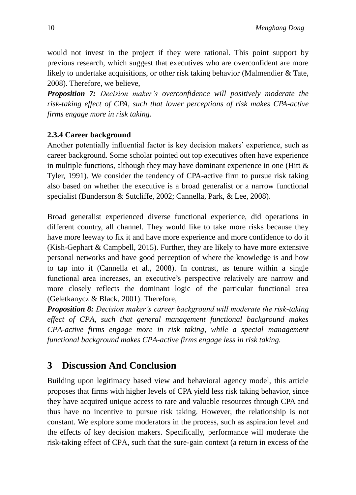would not invest in the project if they were rational. This point support by previous research, which suggest that executives who are overconfident are more likely to undertake acquisitions, or other risk taking behavior (Malmendier & Tate, 2008). Therefore, we believe,

*Proposition 7: Decision maker's overconfidence will positively moderate the risk-taking effect of CPA, such that lower perceptions of risk makes CPA-active firms engage more in risk taking.*

## **2.3.4 Career background**

Another potentially influential factor is key decision makers' experience, such as career background. Some scholar pointed out top executives often have experience in multiple functions, although they may have dominant experience in one (Hitt  $\&$ Tyler, 1991). We consider the tendency of CPA-active firm to pursue risk taking also based on whether the executive is a broad generalist or a narrow functional specialist (Bunderson & Sutcliffe, 2002; Cannella, Park, & Lee, 2008).

Broad generalist experienced diverse functional experience, did operations in different country, all channel. They would like to take more risks because they have more leeway to fix it and have more experience and more confidence to do it (Kish-Gephart & Campbell, 2015). Further, they are likely to have more extensive personal networks and have good perception of where the knowledge is and how to tap into it (Cannella et al., 2008). In contrast, as tenure within a single functional area increases, an executive's perspective relatively are narrow and more closely reflects the dominant logic of the particular functional area (Geletkanycz & Black, 2001). Therefore,

*Proposition 8: Decision maker's career background will moderate the risk-taking effect of CPA, such that general management functional background makes CPA-active firms engage more in risk taking, while a special management functional background makes CPA-active firms engage less in risk taking.*

# **3 Discussion And Conclusion**

Building upon legitimacy based view and behavioral agency model, this article proposes that firms with higher levels of CPA yield less risk taking behavior, since they have acquired unique access to rare and valuable resources through CPA and thus have no incentive to pursue risk taking. However, the relationship is not constant. We explore some moderators in the process, such as aspiration level and the effects of key decision makers. Specifically, performance will moderate the risk-taking effect of CPA, such that the sure-gain context (a return in excess of the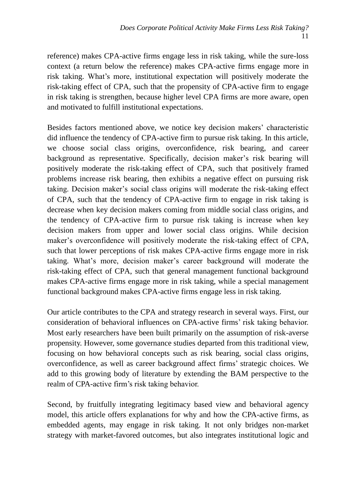reference) makes CPA-active firms engage less in risk taking, while the sure-loss context (a return below the reference) makes CPA-active firms engage more in risk taking. What's more, institutional expectation will positively moderate the risk-taking effect of CPA, such that the propensity of CPA-active firm to engage in risk taking is strengthen, because higher level CPA firms are more aware, open and motivated to fulfill institutional expectations.

Besides factors mentioned above, we notice key decision makers' characteristic did influence the tendency of CPA-active firm to pursue risk taking. In this article, we choose social class origins, overconfidence, risk bearing, and career background as representative. Specifically, decision maker's risk bearing will positively moderate the risk-taking effect of CPA, such that positively framed problems increase risk bearing, then exhibits a negative effect on pursuing risk taking. Decision maker's social class origins will moderate the risk-taking effect of CPA, such that the tendency of CPA-active firm to engage in risk taking is decrease when key decision makers coming from middle social class origins, and the tendency of CPA-active firm to pursue risk taking is increase when key decision makers from upper and lower social class origins. While decision maker's overconfidence will positively moderate the risk-taking effect of CPA, such that lower perceptions of risk makes CPA-active firms engage more in risk taking. What's more, decision maker's career background will moderate the risk-taking effect of CPA, such that general management functional background makes CPA-active firms engage more in risk taking, while a special management functional background makes CPA-active firms engage less in risk taking.

Our article contributes to the CPA and strategy research in several ways. First, our consideration of behavioral influences on CPA-active firms' risk taking behavior. Most early researchers have been built primarily on the assumption of risk-averse propensity. However, some governance studies departed from this traditional view, focusing on how behavioral concepts such as risk bearing, social class origins, overconfidence, as well as career background affect firms' strategic choices. We add to this growing body of literature by extending the BAM perspective to the realm of CPA-active firm's risk taking behavior.

Second, by fruitfully integrating legitimacy based view and behavioral agency model, this article offers explanations for why and how the CPA-active firms, as embedded agents, may engage in risk taking. It not only bridges non-market strategy with market-favored outcomes, but also integrates institutional logic and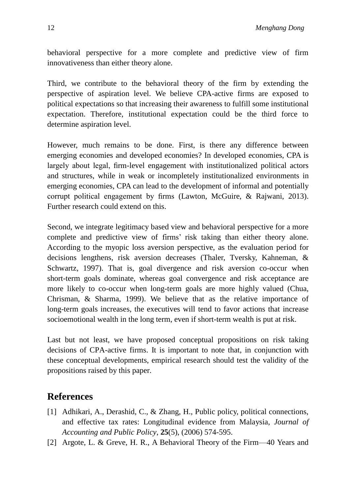behavioral perspective for a more complete and predictive view of firm innovativeness than either theory alone.

Third, we contribute to the behavioral theory of the firm by extending the perspective of aspiration level. We believe CPA-active firms are exposed to political expectations so that increasing their awareness to fulfill some institutional expectation. Therefore, institutional expectation could be the third force to determine aspiration level.

However, much remains to be done. First, is there any difference between emerging economies and developed economies? In developed economies, CPA is largely about legal, firm-level engagement with institutionalized political actors and structures, while in weak or incompletely institutionalized environments in emerging economies, CPA can lead to the development of informal and potentially corrupt political engagement by firms (Lawton, McGuire, & Rajwani, 2013). Further research could extend on this.

Second, we integrate legitimacy based view and behavioral perspective for a more complete and predictive view of firms' risk taking than either theory alone. According to the myopic loss aversion perspective, as the evaluation period for decisions lengthens, risk aversion decreases (Thaler, Tversky, Kahneman, & Schwartz, 1997). That is, goal divergence and risk aversion co-occur when short-term goals dominate, whereas goal convergence and risk acceptance are more likely to co-occur when long-term goals are more highly valued (Chua, Chrisman, & Sharma, 1999). We believe that as the relative importance of long-term goals increases, the executives will tend to favor actions that increase socioemotional wealth in the long term, even if short-term wealth is put at risk.

Last but not least, we have proposed conceptual propositions on risk taking decisions of CPA-active firms. It is important to note that, in conjunction with these conceptual developments, empirical research should test the validity of the propositions raised by this paper.

# **References**

- [1] Adhikari, A., Derashid, C., & Zhang, H., Public policy, political connections, and effective tax rates: Longitudinal evidence from Malaysia, *Journal of Accounting and Public Policy*, **25**(5), (2006) 574-595.
- [2] Argote, L. & Greve, H. R., A Behavioral Theory of the Firm—40 Years and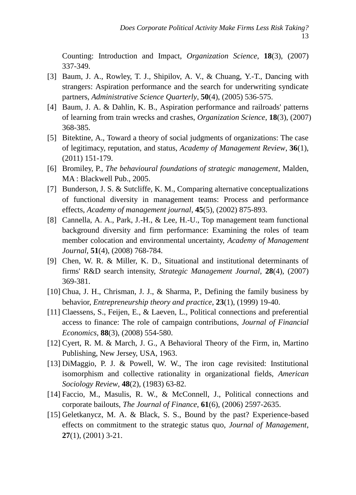Counting: Introduction and Impact, *Organization Science*, **18**(3), (2007) 337-349.

- [3] Baum, J. A., Rowley, T. J., Shipilov, A. V., & Chuang, Y.-T., Dancing with strangers: Aspiration performance and the search for underwriting syndicate partners, *Administrative Science Quarterly*, **50**(4), (2005) 536-575.
- [4] Baum, J. A. & Dahlin, K. B., Aspiration performance and railroads' patterns of learning from train wrecks and crashes, *Organization Science*, **18**(3), (2007) 368-385.
- [5] Bitektine, A., Toward a theory of social judgments of organizations: The case of legitimacy, reputation, and status, *Academy of Management Review*, **36**(1), (2011) 151-179.
- [6] Bromiley, P., *The behavioural foundations of strategic management*, Malden, MA : Blackwell Pub., 2005.
- [7] Bunderson, J. S. & Sutcliffe, K. M., Comparing alternative conceptualizations of functional diversity in management teams: Process and performance effects, *Academy of management journal*, **45**(5), (2002) 875-893.
- [8] Cannella, A. A., Park, J.-H., & Lee, H.-U., Top management team functional background diversity and firm performance: Examining the roles of team member colocation and environmental uncertainty, *Academy of Management Journal*, **51**(4), (2008) 768-784.
- [9] Chen, W. R. & Miller, K. D., Situational and institutional determinants of firms' R&D search intensity, *Strategic Management Journal*, **28**(4), (2007) 369-381.
- [10] Chua, J. H., Chrisman, J. J., & Sharma, P., Defining the family business by behavior, *Entrepreneurship theory and practice*, **23**(1), (1999) 19-40.
- [11] Claessens, S., Feijen, E., & Laeven, L., Political connections and preferential access to finance: The role of campaign contributions, *Journal of Financial Economics*, **88**(3), (2008) 554-580.
- [12] Cyert, R. M. & March, J. G., A Behavioral Theory of the Firm, in, Martino Publishing, New Jersey, USA, 1963.
- [13] DiMaggio, P. J. & Powell, W. W., The iron cage revisited: Institutional isomorphism and collective rationality in organizational fields, *American Sociology Review*, **48**(2), (1983) 63-82.
- [14] Faccio, M., Masulis, R. W., & McConnell, J., Political connections and corporate bailouts, *The Journal of Finance*, **61**(6), (2006) 2597-2635.
- [15] Geletkanycz, M. A. & Black, S. S., Bound by the past? Experience-based effects on commitment to the strategic status quo, *Journal of Management*, **27**(1), (2001) 3-21.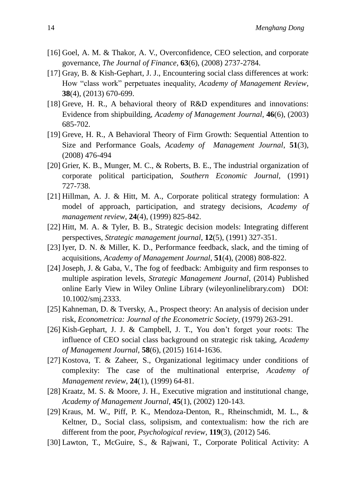- [16] Goel, A. M. & Thakor, A. V., Overconfidence, CEO selection, and corporate governance, *The Journal of Finance*, **63**(6), (2008) 2737-2784.
- [17] Gray, B. & Kish-Gephart, J. J., Encountering social class differences at work: How "class work" perpetuates inequality, *Academy of Management Review*, **38**(4), (2013) 670-699.
- [18] Greve, H. R., A behavioral theory of R&D expenditures and innovations: Evidence from shipbuilding, *Academy of Management Journal*, **46**(6), (2003) 685-702.
- [19] Greve, H. R., A Behavioral Theory of Firm Growth: Sequential Attention to Size and Performance Goals, *Academy of Management Journal*, **51**(3), (2008) 476-494
- [20] Grier, K. B., Munger, M. C., & Roberts, B. E., The industrial organization of corporate political participation, *Southern Economic Journal*, (1991) 727-738.
- [21] Hillman, A. J. & Hitt, M. A., Corporate political strategy formulation: A model of approach, participation, and strategy decisions, *Academy of management review*, **24**(4), (1999) 825-842.
- [22] Hitt, M. A. & Tyler, B. B., Strategic decision models: Integrating different perspectives, *Strategic management journal*, **12**(5), (1991) 327-351.
- [23] Iyer, D. N. & Miller, K. D., Performance feedback, slack, and the timing of acquisitions, *Academy of Management Journal*, **51**(4), (2008) 808-822.
- [24] Joseph, J. & Gaba, V., The fog of feedback: Ambiguity and firm responses to multiple aspiration levels, *Strategic Management Journal*, (2014) Published online Early View in Wiley Online Library (wileyonlinelibrary.com) DOI: 10.1002/smj.2333.
- [25] Kahneman, D. & Tversky, A., Prospect theory: An analysis of decision under risk, *Econometrica: Journal of the Econometric Society*, (1979) 263-291.
- [26] Kish-Gephart, J. J. & Campbell, J. T., You don't forget your roots: The influence of CEO social class background on strategic risk taking, *Academy of Management Journal*, **58**(6), (2015) 1614-1636.
- [27] Kostova, T. & Zaheer, S., Organizational legitimacy under conditions of complexity: The case of the multinational enterprise, *Academy of Management review*, **24**(1), (1999) 64-81.
- [28] Kraatz, M. S. & Moore, J. H., Executive migration and institutional change, *Academy of Management Journal*, **45**(1), (2002) 120-143.
- [29] Kraus, M. W., Piff, P. K., Mendoza-Denton, R., Rheinschmidt, M. L., & Keltner, D., Social class, solipsism, and contextualism: how the rich are different from the poor, *Psychological review*, **119**(3), (2012) 546.
- [30] Lawton, T., McGuire, S., & Rajwani, T., Corporate Political Activity: A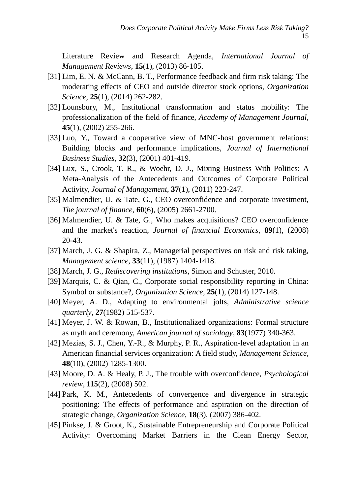Literature Review and Research Agenda, *International Journal of Management Reviews*, **15**(1), (2013) 86-105.

- [31] Lim, E. N. & McCann, B. T., Performance feedback and firm risk taking: The moderating effects of CEO and outside director stock options, *Organization Science*, **25**(1), (2014) 262-282.
- [32] Lounsbury, M., Institutional transformation and status mobility: The professionalization of the field of finance, *Academy of Management Journal*, **45**(1), (2002) 255-266.
- [33] Luo, Y., Toward a cooperative view of MNC-host government relations: Building blocks and performance implications, *Journal of International Business Studies*, **32**(3), (2001) 401-419.
- [34] Lux, S., Crook, T. R., & Woehr, D. J., Mixing Business With Politics: A Meta-Analysis of the Antecedents and Outcomes of Corporate Political Activity, *Journal of Management*, **37**(1), (2011) 223-247.
- [35] Malmendier, U. & Tate, G., CEO overconfidence and corporate investment, *The journal of finance*, **60**(6), (2005) 2661-2700.
- [36] Malmendier, U. & Tate, G., Who makes acquisitions? CEO overconfidence and the market's reaction, *Journal of financial Economics*, **89**(1), (2008) 20-43.
- [37] March, J. G. & Shapira, Z., Managerial perspectives on risk and risk taking, *Management science*, **33**(11), (1987) 1404-1418.
- [38] March, J. G., *Rediscovering institutions*, Simon and Schuster, 2010.
- [39] Marquis, C. & Qian, C., Corporate social responsibility reporting in China: Symbol or substance?, *Organization Science*, **25**(1), (2014) 127-148.
- [40] Meyer, A. D., Adapting to environmental jolts, *Administrative science quarterly*, **27**(1982) 515-537.
- [41] Meyer, J. W. & Rowan, B., Institutionalized organizations: Formal structure as myth and ceremony, *American journal of sociology*, **83**(1977) 340-363.
- [42] Mezias, S. J., Chen, Y.-R., & Murphy, P. R., Aspiration-level adaptation in an American financial services organization: A field study, *Management Science*, **48**(10), (2002) 1285-1300.
- [43] Moore, D. A. & Healy, P. J., The trouble with overconfidence, *Psychological review*, **115**(2), (2008) 502.
- [44] Park, K. M., Antecedents of convergence and divergence in strategic positioning: The effects of performance and aspiration on the direction of strategic change, *Organization Science*, **18**(3), (2007) 386-402.
- [45] Pinkse, J. & Groot, K., Sustainable Entrepreneurship and Corporate Political Activity: Overcoming Market Barriers in the Clean Energy Sector,